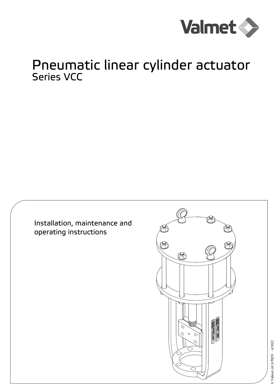

# Pneumatic linear cylinder actuator Series VCC

Installation, maintenance and operating instructions



© Valmet, 6CA70EN - 4/2022 © Valmet, 6CA70EN - 4/2022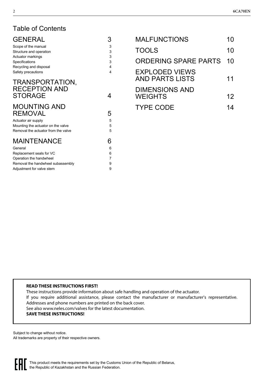### Table of Contents

| <b>GENERAL</b>                                                                                     | 3           | <b>MALFUNCTIONS</b>                     | 10 |
|----------------------------------------------------------------------------------------------------|-------------|-----------------------------------------|----|
| Scope of the manual<br>Structure and operation                                                     | 3<br>3      | <b>TOOLS</b>                            | 10 |
| Actuator markings<br>Specifications                                                                | 3<br>3      | <b>ORDERING SPARE PARTS</b>             | 10 |
| Recycling and disposal<br>Safety precautions                                                       | 4<br>4      | <b>EXPLODED VIEWS</b>                   |    |
| TRANSPORTATION,                                                                                    |             | <b>AND PARTS LISTS</b>                  | 11 |
| <b>RECEPTION AND</b><br><b>STORAGE</b>                                                             | 4           | <b>DIMENSIONS AND</b><br><b>WEIGHTS</b> | 12 |
| <b>MOUNTING AND</b><br><b>REMOVAL</b><br>Actuator air supply<br>Mounting the actuator on the valve | 5<br>5<br>5 | <b>TYPE CODE</b>                        | 14 |
| Removal the actuator from the valve                                                                | 5           |                                         |    |
| <b>MAINTENANCE</b>                                                                                 | 6           |                                         |    |
| General                                                                                            | 6           |                                         |    |
| Replacement seals for VC                                                                           | 6           |                                         |    |
| Operation the handwheel                                                                            |             |                                         |    |
| Removal the handwheel subassembly                                                                  | 9           |                                         |    |

#### **READ THESE INSTRUCTIONS FIRST!**

[Adjustment for valve stem 9](#page-8-1)

These instructions provide information about safe handling and operation of the actuator. If you require additional assistance, please contact the manufacturer or manufacturer's representative. Addresses and phone numbers are printed on the back cover. See also www.neles.com/valves for the latest documentation. **SAVE THESE INSTRUCTIONS!**

Subject to change without notice. All trademarks are property of their respective owners.

> This product meets the requirements set by the Customs Union of the Republic of Belarus, the Republic of Kazakhstan and the Russian Federation.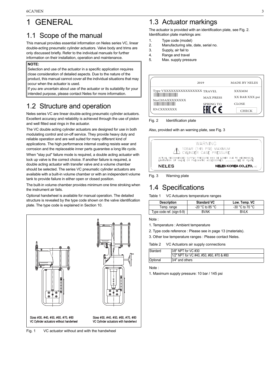# <span id="page-2-0"></span>1 GENERAL

### <span id="page-2-1"></span>1.1 Scope of the manual

This manual provides essential information on Neles series VC, linear double-acting pneumatic cylinder actuators. Valve body and trims are only discussed briefly. Refer to the individual manuals for further information on their installation, operation and maintenance.

#### **NOTE:**

Selection and use of the actuator in a specific application requires close consideration of detailed aspects. Due to the nature of the product, this manual cannot cover all the individual situations that may occur when the actuator is used.

If you are uncertain about use of the actuator or its suitability for your intended purpose, please contact Neles for more information.

### <span id="page-2-2"></span>1.2 Structure and operation

Neles series VC are linear double-acting pneumatic cylinder actuators. Excellent accuracy and reliability is achieved through the use of piston and well fitted seal rings in the actuator.

The VC double acting cylinder actuators are designed for use in both modulating control and on-off service. They provide heavy duty and reliable operation and are well suited for many different kind of applications. The high performance internal coating resists wear and corrosion and the replaceable inner parts guarantee a long life cycle.

When "stay put" failure mode is required, a double acting actuator with lock up valve is the correct choice. If another failure is required, a double acting actuator with transfer valve and a volume chamber should be selected. The series VC pneumatic cylinder actuators are available with a built-in volume chamber or with an independent volume tank to provide failure in either open or closed position.

The built-in volume chamber provides minimum one time stroking when the instrument air fails.

Optional handwheel is available for manual operation. The detailed structure is revealed by the type code shown on the valve identification plate. The type code is explained in Section 10.



Fig. 1 VC actuator without and with the handwheel

### <span id="page-2-3"></span>1.3 Actuator markings

The actuator is provided with an identification plate, see Fig. 2. Identification plate markings are:

- 1. Type code (model)
- 2. Manufacturing site, date, serial no.
- 3. Supply, air fail to
- 4. Range and travel
- 5. Max. supply pressure

|                              | 2019             | <b>MADE BY NELES</b> |
|------------------------------|------------------|----------------------|
| Type VXXXXXXXXXXXXXXX TRAVEL |                  | <b>XXXMM</b>         |
| No:C03AXXXXXXXX              | <b>MAX PRESS</b> | XX BAR XXX psi       |
|                              | <b>SPRING TO</b> | <b>CLOSE</b>         |
| <b>ID:CXXXXXXX</b>           |                  | <b>CHECK</b>         |

Fig. 2 Identification plate

Also, provided with an warning plate, see Fig. 3

|              | 10BAR (145 PSI) MAXIMUM<br>CYLINDER CASE PRESSURE<br>ACTUAL RECOMMENDED SUPPLY PRESSURE MAY BE LOWER DUE TO MECHANICAL<br>LIMITATION OF VALVE OR PNEUMATIC ACCESSORIES.  SEE ID PLATE |
|--------------|---------------------------------------------------------------------------------------------------------------------------------------------------------------------------------------|
| <b>NELES</b> | <b>NELES KOREA COLTD.</b> vo                                                                                                                                                          |

#### Fig. 3 Warning plate

### <span id="page-2-4"></span>1.4 Specifications

Table 1 VC Actuators temperature ranges

| <b>Description</b>        | <b>Standard VC</b> | Low. Temp. VC     |
|---------------------------|--------------------|-------------------|
| Temp. range               | $-20$ °C to 85 °C  | $-30$ °C to 70 °C |
| Type code ref. (sign 6-9) | <b>BVAK</b>        | <b>BVLK</b>       |

#### Note :

1. Temperature : Ambient temperature

2. Type code reference : Please see in page 13 (materials).

3. Other low temperature ranges : Please contact Neles.

Table 2 VC Actuators air supply connections

| Stardard | 3/8" NPT for VC #30                      |
|----------|------------------------------------------|
|          | 1/2" NPT for VC #40, #50, #60, #70 & #80 |
| Optional | 3/4" and others                          |

Note :

1. Maximum supply pressure: 10 bar / 145 psi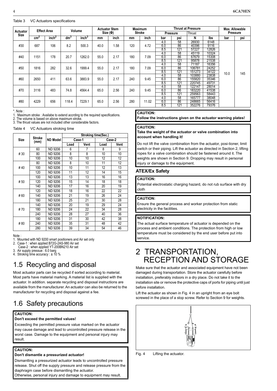#### Table 3 VC Actuators specifications

|                         |                 | <b>Effect Area</b> |                 | Volume            |      | <b>Actuator Stem</b> |     | Maximum       |            | <b>Thrust at Pressure</b> |        | Max. Allowable |          |     |        |       |  |  |
|-------------------------|-----------------|--------------------|-----------------|-------------------|------|----------------------|-----|---------------|------------|---------------------------|--------|----------------|----------|-----|--------|-------|--|--|
| Actuator<br><b>Size</b> |                 |                    |                 |                   |      | Size(Φ)              |     | <b>Stroke</b> |            | <b>Pressure</b>           | Thrust |                | Pressure |     |        |       |  |  |
|                         | cm <sup>2</sup> | inch <sup>2</sup>  | dm <sup>3</sup> | inch <sup>3</sup> | mm   | inch                 | mm  | inch          | bar<br>psi |                           | N      | lbs            | bar      | psi |        |       |  |  |
|                         |                 |                    |                 |                   |      |                      |     |               | 4.0        | 58                        | 26930  | 6148           |          |     |        |       |  |  |
| #30                     | 687             | 106                | 8.2             | 500.3             | 40.0 | 1.58                 | 120 | 4.72          | 6.0        | 86                        | 40396  | 9116           |          |     |        |       |  |  |
|                         |                 |                    |                 |                   |      |                      |     |               | 8.5        | 121                       | 57227  | 12826          |          |     |        |       |  |  |
|                         |                 |                    |                 |                   |      |                      |     |               | 4.0        | 58                        | 45119  | 10324          |          |     |        |       |  |  |
| #40                     | 1151            | 178                | 20.7            | 1262.0            | 55.0 | 2.17                 | 180 | 7.09          | 6.0        | 86                        | 67679  | 15308          |          |     |        |       |  |  |
|                         |                 |                    |                 |                   |      |                      |     |               | 8.5        | 121                       | 95878  | 21538          |          |     |        |       |  |  |
|                         |                 |                    |                 |                   |      |                      |     |               | 4.0        | 58                        | 71187  | 16356          |          |     |        |       |  |  |
| #50                     | 1816            | 282                | 32.6            | 1999.4            | 55.0 | 2.17                 | 180 | 7.09          | 6.0        | 86                        | 106781 | 24252          |          |     |        |       |  |  |
|                         |                 |                    |                 |                   |      |                      |     |               | 8.5        | 121                       | 151273 | 34122          | 10.0     | 145 |        |       |  |  |
|                         |                 |                    |                 |                   |      |                      |     |               |            |                           |        |                | 4.0      | 58  | 103880 | 23838 |  |  |
| #60                     | 2650            | 411                | 63.6            | 3883.9            | 55.0 | 2.17                 | 240 | 9.45          | 6.0        | 86                        | 155820 | 35346          |          |     |        |       |  |  |
|                         |                 |                    |                 |                   |      |                      |     |               | 8.5        | 121                       | 220745 | 49731          |          |     |        |       |  |  |
|                         |                 |                    |                 |                   |      |                      |     |               | 4.0        | 58                        | 122147 | 28014          |          |     |        |       |  |  |
| #70                     | 3116            | 483                | 74.8            | 4564.4            | 65.0 | 2.56                 | 240 | 9.45          | 6.0        | 86                        | 183220 | 41538          |          |     |        |       |  |  |
|                         |                 |                    |                 |                   |      |                      |     |               | 8.5        | 121                       | 259563 | 58443          |          |     |        |       |  |  |
|                         |                 |                    |                 |                   |      |                      |     |               | 4.0        | 58                        | 165777 | 38048          |          |     |        |       |  |  |
| #80                     | 4229            | 656                | 118.4           | 7229.1            | 65.0 | 2.56                 | 280 | 11.02         | 6.0        | 86                        | 248665 | 56416          |          |     |        |       |  |  |
|                         |                 |                    |                 |                   |      |                      |     |               | 8.5        | 121                       | 352276 | 79376          |          |     |        |       |  |  |

\*. Note :

1. Maximum stroke : Availabe to extend accrding to the required specifications.

2. The volume is based on above maximum stroke. 3. The thrust values are not included other considerable factors.

Table 4 VC Actuators stroking time

|             |                |                 | Stroking time(Sec.) |        |        |      |  |  |  |  |  |  |  |
|-------------|----------------|-----------------|---------------------|--------|--------|------|--|--|--|--|--|--|--|
| <b>Size</b> | Stroke<br>(mm) | <b>ND Model</b> |                     | Case-1 | Case-2 |      |  |  |  |  |  |  |  |
|             |                |                 | Load                | Vent   | Load   | Vent |  |  |  |  |  |  |  |
|             | 60             | <b>ND 9206</b>  | 6                   | 7      | 8      | 9    |  |  |  |  |  |  |  |
| # 30        | 80             | ND 9206         | 8                   | 8      | 10     | 10   |  |  |  |  |  |  |  |
|             | 100            | <b>ND 9206</b>  | 10                  | 10     | 12     | 12   |  |  |  |  |  |  |  |
|             | 80             | <b>ND 9206</b>  | 8                   | 10     | 11     | 12   |  |  |  |  |  |  |  |
| #40         | 100            | <b>ND 9206</b>  | 10                  | 11     | 12     | 13   |  |  |  |  |  |  |  |
|             | 120            | <b>ND 9206</b>  | 11                  | 12     | 14     | 15   |  |  |  |  |  |  |  |
|             | 100            | <b>ND 9206</b>  | 13                  | 13     | 16     | 16   |  |  |  |  |  |  |  |
| #50         | 120            | <b>ND 9206</b>  | 15                  | 14     | 18     | 18   |  |  |  |  |  |  |  |
|             | 140            | <b>ND 9206</b>  | 17                  | 16     | 20     | 19   |  |  |  |  |  |  |  |
|             | 120            | <b>ND 9206</b>  | 18                  | 16     | 22     | 22   |  |  |  |  |  |  |  |
| #60         | 140            | <b>ND 9206</b>  | 21                  | 19     | 26     | 24   |  |  |  |  |  |  |  |
|             | 180            | <b>ND 9206</b>  | 25                  | 21     | 30     | 28   |  |  |  |  |  |  |  |
|             | 140            | <b>ND 9206</b>  | 20                  | 19     | 29     | 24   |  |  |  |  |  |  |  |
| #70         | 180            | ND 9206         | 24                  | 22     | 34     | 28   |  |  |  |  |  |  |  |
|             | 240            | <b>ND 9206</b>  | 28                  | 27     | 40     | 36   |  |  |  |  |  |  |  |
|             | 180            | <b>ND 9206</b>  | 31                  | 30     | 42     | 38   |  |  |  |  |  |  |  |
| #80         | 240            | <b>ND 9206</b>  | 35                  | 31     | 48     | 42   |  |  |  |  |  |  |  |
|             | 280            | <b>ND 9206</b>  | 39                  | 34     | 54     | 46   |  |  |  |  |  |  |  |

Note :

1. Mounted with ND 9200 smart positioners and Air set only<br>2. Case-1: when applied B72G-2AS-980 Air set

Case-1 : when applied B72G-2AS-980 Air set

Case-2 : when applied YT-200BN210 Air set

3. Air supply pressue : 6.0 barg 4. Stroking time accuracy : ± 10 %

### <span id="page-3-0"></span>1.5 Recycling and disposal

Most actuator parts can be recycled if sorted according to material. Most parts have material marking. A material list is supplied with the actuator. In addition. separate recycling and disposal instructions are available from the manufacturer. An actuator can also be returned to the manufacturer for recycling and disposal against a fee.

### <span id="page-3-1"></span>1.6 Safety precautions

#### **CAUTION:**

#### **Don't exceed the permitted values!**

Exceeding the permitted pressure value marked on the actuator may cause damage and lead to uncontrolled pressure release in the worst case. Damage to the equipment and personal injury may result.

### **CAUTION:**

j

#### **Don't dismantle a pressurized actuator!**

Dismantling a pressurized actuator leads to uncontrolled pressure release. Shut off the supply pressure and release pressure from the diaphragm case before dismantling the actuator.

Otherwise, personal injury and damage to equipment may result.

#### **CAUTION:**

**Follow the instructions given on the actuator warning plates!**

#### **CAUTION:**

#### **Take the weight of the actuator or valve combination into account when handling it!**

Do not lift the valve combination from the actuator, posi-tioner, limit switch or their piping. Lift the actuator as directed in Section 2, lifting ropes for a valve combination should be fastened around it. The weights are shown in Section 9. Dropping may result in personal injury or damage to the equipment.

#### **ATEX/Ex Safety**

#### **CAUTION:**

Potential electrostatic charging hazard, do not rub surface with dry cloth

#### **CAUTION:**

Ensure the general process and worker protection from static electricity in the facilities.

#### **NOTIFICATION:**

The actual surface temperature of actuator is depended on the process and ambient conditions. The protection from high or low temperature must be considered by the end user before put into service.

### <span id="page-3-2"></span>2 TRANSPORTATION, RECEPTION AND STORAGE

Make sure that the actuator and associated equipment have not been damaged during transportation. Store the actuator carefully before installation, preferably indoors in a dry place. Do not take it to the installation site or remove the protective caps of ports for piping until just before installation.

Lift the actuator as shown in Fig. 4 in an upright from an eye bolt screwed in the place of a stop screw. Refer to Section 9 for weights.



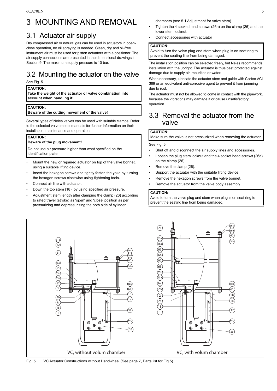# <span id="page-4-0"></span>3 MOUNTING AND REMOVAL

### <span id="page-4-1"></span>3.1 Actuator air supply

Dry compressed air or natural gas can be used in actuators in openclose operation, no oil spraying is needed. Clean, dry and oil-free instrument air must be used for piston actuators with a positioner. The air supply connections are presented in the dimensional drawings in Section 9. The maximum supply pressure is 10 bar.

### <span id="page-4-2"></span>3.2 Mounting the actuator on the valve

See Fig. 5

#### **CAUTION:**

**Take the weight of the actuator or valve combination into account when handling it!**

#### **CAUTION:**

#### **Beware of the cutting movement of the valve!**

Several types of Neles valves can be used with suitable clamps. Refer to the selected valve model manuals for further information on their installation, maintenance and operation.

#### **CAUTION:**

#### **Beware of the plug movement!**

Do not use air pressure higher than what specified on the identification plate.

- Mount the new or repaired actuator on top of the valve bonnet, using a suitable lifting device.
- Insert the hexagon screws and tightly fasten the yoke by turning the hexagon screws clockwise using tightening tools.
- Connect air line with actuator.
- Down the top stem (18), by using specified air pressure.
- Adjustment stem length after clamping the clamp (26) according to rated travel (stroke) as 'open' and 'close' position as per pressurizing and depressurizing the both side of cylinder

chambers (see 5.1 Adjustment for valve stem).

- Tighten the 4 socket head screws (26a) on the clamp (26) and the lower stem locknut.
- Connect accessories with actuator

#### **CAUTION:**

Avoid to turn the valve plug and stem when plug is on seat ring to prevent the seating line from being damaged.

The installation position can be selected freely, but Neles recommends installation with the upright. The actuator is thus best protected against damage due to supply air impurities or water.

When necessary, lubricate the actuator stem and guide with Cortec VCI 369 or an equivalent anti-corrosive agent to prevent it from jamming due to rust.

The actuator must not be allowed to come in contact with the pipework, because the vibrations may damage it or cause unsatisfactory operation.

### <span id="page-4-3"></span>3.3 Removal the actuator from the valve

#### **CAUTION:**

Make sure the valve is not pressurized when removing the actuator.

See Fig. 5.

- Shut off and disconnect the air supply lines and accessories.
- Loosen the plug stem locknut and the 4 socket head screws (26a) on the clamp (26).
- Remove the clamp (26).
- Support the actuator with the suitable lifting device.
- Remove the hexagon screws from the valve bonnet.
- Remove the actuator from the valve body assembly.

#### **CAUTION:**

Avoid to turn the valve plug and stem when plug is on seat ring to prevent the seating line from being damaged.



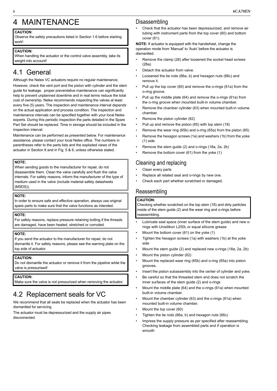# <span id="page-5-0"></span>4 MAINTENANCE

#### **CAUTION:**

Observe the safety precautions listed in Section 1.6 before starting work!

#### **CAUTION:**

When handling the actuator or the control valve assembly, take its weight into account!

### <span id="page-5-1"></span>4.1 General

### Although the Neles VC actuators require no regular maintenance.

However, check the vent port and the piston with cylinder and the stem guide for leakage. proper preventative maintenance can significantly help to prevent unplanned downtime and in real terms reduce the total cost of ownership. Neles recommends inspecting the valves at least every five (5) years. The inspection and maintenance interval depends on the actual application and process condition. The inspection and maintenance intervals can be specified together with your local Neles experts. During this periodic inspection the parts detailed in the Spare Part Set should be replaced. Time in storage should be included in the inspection interval.

Maintenance can be performed as presented below. For maintenance assistance, please contact your local Neles office. The numbers in parentheses refer to the parts lists and the exploded views of the actuator in Section 8 and in Fig. 5 & 6, unless otherwise stated.

#### **NOTE:**

When sending goods to the manufacturer for repair, do not disassemble them. Clean the valve carefully and flush the valve internals. For safety reasons, inform the manufacturer of the type of medium used in the valve (include material safety datasheets (MSDS)).

#### **NOTE:**

In order to ensure safe and effective operation, always use original spare parts to make sure that the valve functions as intended.

#### **NOTE:**

For safety reasons, replace pressure retaining bolting if the threads are damaged, have been heated, stretched or corroded.

#### **NOTE:**

If you send the actuator to the manufacturer for repair, do not dismantle it. For safety reasons, please see the warning plate on the top side of actuator.

#### **CAUTION:**

Do not dismantle the actuator or remove it from the pipeline while the valve is pressurised!

#### **CAUTION:**

Make sure the valve is not pressurized when removing the actuator.

### <span id="page-5-2"></span>4.2 Replacement seals for VC

We recommend that all seals be replaced when the actuator has been dismantled for servicing.

The actuator must be depressurized and the supply air pipes disconnected.

### Disassembling

• Check that the actuator has been depressurized, and remove air tubing with instrument parts from the top cover (60) and bottom cover (61).

**NOTE:** If actuator is equipped with the handwheel, change the operation mode from 'Manual' to 'Auto' before the actuator is dismantled.

- Remove the clamp (26) after loosened the socket head screws (26a)
- Detach the actuator from valve.
- Loosened the tie rods (66a, b) and hexagon nuts (66c) and remove it.
- Pull up the top cover (60) and remove the o-rings (61a) from the o-ring groove.
- Pull up the middle plate (64) and remove the o-rings (61a) from the o-ring groove when mounted built-in volume chamber.
- Remove the chamber cylinder (63) when mounted built-in volume chamber.
- Remove the piston cylinder (62)
- Pull up and remove the piston (65) with top stem (18)
- Remove the wear ring (65b) and o-ring (65a) from the piston (65)
- Remove the hexagon screws (1a) and washers (1b) from the yoke (1) side
- Remove the stem guide (2) and o-rings (18a, 2a, 2b)
- Remove the bottom cover  $(61)$  from the yoke  $(1)$

### Cleaning and replacing

- Clean every parts
- Replace all related seal and o-rings by new one.
- Check each part whether scratched or damaged.

### Reassembling

#### **CAUTION:**

Checking whether scratched on the top stem (18) and dirty particles inside of the stem guide (2) and the wear ring and o-rings before reassembling.

- Lubricate seal space (inner surface of the stem guide) and new orings with Unisilikon L250L or equal silicone grease
- Mount the bottom cover (61) on the yoke (1)
- Tighten the hexagon screws (1a) with washers (1b) at the yoke side
- Mount the stem guide (2) and replaced new o-rings (18a, 2a, 2b)
- Mount the piston cylinder (62)
- Mount the replaced wear ring (65b) and o-ring (65a) into piston grooves.
- Insert the piston subassembly into the center of cylinder and yoke.
- Be careful so that the threaded stem end does not scratch the inner surfaces of the stem guide (2) and o-rings
- Mount the middle plate (64) and the o-rings (61a) when mounted built-in volume chamber.
- Mount the chamber cylinder (63) and the o-rings (61a) when mounted built-in volume chamber.
- Mount the top cover (60)
- Tighten the tie rods (66a, b) and hexagon nuts (66c)
- Impress the supply pressure as per specified after reassembling. Checking leakage from assembled parts and if operation is smooth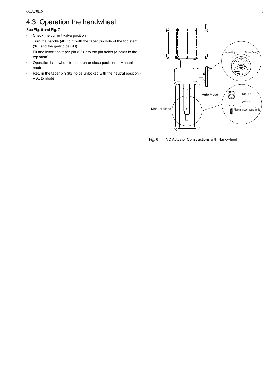### <span id="page-6-0"></span>4.3 Operation the handwheel

See Fig. 6 and Fig. 7

- Check the current valve position
- Turn the handle (46) to fit with the taper pin hole of the top stem (18) and the gear pipe (90)
- Fit and insert the taper pin (93) into the pin holes (3 holes in the top stem)
- Operation handwheel to be open or close position --- Manual mode
- Return the taper pin (93) to be unlocked with the neutral position -- Auto mode



Fig. 6 VC Actuator Constructions with Handwheel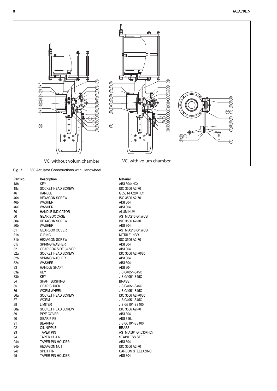

Fig. 7 VC Actuator Constructions with Handwheel

| Part No.        | <b>Description</b>         | <b>Material</b> |
|-----------------|----------------------------|-----------------|
| 18 <sub>b</sub> | <b>KEY</b>                 | <b>AISI 304</b> |
| 18 <sub>c</sub> | SOCKET HEAD SCREW          | ISO 350         |
| 46              | <b>HANDLE</b>              | G5501-F         |
| 46a             | <b>HEXAGON SCREW</b>       | ISO 350         |
| 46b             | <b>WASHER</b>              | <b>AISI 304</b> |
| 46C             | <b>WASHER</b>              | <b>AISI 304</b> |
| 50              | <b>HANDLE INDICATOR</b>    | <b>ALUMIN</b>   |
| 80              | <b>GEAR BOX CASE</b>       | <b>ASTMA</b>    |
| 80a             | <b>HEXAGON SCREW</b>       | ISO 350         |
| 80b             | <b>WASHER</b>              | <b>AISI 304</b> |
| 81              | <b>GEARBOX COVER</b>       | <b>ASTM A</b>   |
| 81a             | O-RING                     | <b>NITRILE</b>  |
| 81b             | <b>HEXAGON SCREW</b>       | ISO 350         |
| 81c             | <b>SPRING WASHER</b>       | <b>AISI 304</b> |
| 82              | <b>GEAR BOX SIDE COVER</b> | <b>AISI 304</b> |
| 82a             | SOCKET HEAD SCREW          | ISO 350         |
| 82b             | <b>SPRING WASHER</b>       | <b>AISI 304</b> |
| 82c             | <b>WASHER</b>              | <b>AISI 304</b> |
| 83              | <b>HANDLE SHAFT</b>        | <b>AISI 304</b> |
| 83a             | <b>KEY</b>                 | <b>JIS G40!</b> |
| 83b             | <b>KEY</b>                 | <b>JIS G409</b> |
| 84              | SHAFT BUSHING              | <b>BRASS</b>    |
| 85              | <b>GEAR CHUCK</b>          | <b>JIS G40!</b> |
| 86              | <b>WORM WHEEL</b>          | <b>JIS G40!</b> |
| 86a             | SOCKET HEAD SCREW          | ISO 350         |
| 87              | <b>WORM</b>                | <b>JIS G40!</b> |
| 88              | <b>LIMITER</b>             | <b>JIS G310</b> |
| 88a             | SOCKET HEAD SCREW          | ISO 350         |
| 89              | PIPE COVER                 | <b>AISI 304</b> |
| 90              | <b>GEAR PIPE</b>           | <b>AISI 316</b> |
| 91              | <b>BEARING</b>             | <b>JIS G310</b> |
| 92              | OIL NIPPLE                 | <b>BRASS</b>    |
| 93              | <b>TAPER PIN</b>           | <b>ASTM A</b>   |
| 94              | <b>TAPER CHAIN</b>         | <b>STAINLE</b>  |
| 94a             | <b>TAPER PIN HOLDER</b>    | <b>AISI 304</b> |
| 94b             | <b>HEXAGON NUT</b>         | ISO 350         |
| 94c             | <b>SPLIT PIN</b>           | <b>CARBOI</b>   |
| 95              | <b>TAPER PIN HOLDER</b>    | AISI 304        |

#### **Material**

AISI 304+HCr ISO 3506 A2-70 G5501-FC20+HCr ISO 3506 A2-70<br>AISI 304 **ALUMINUM** ASTM A216 Gr.WCB ISO 3506 A2-70<br>AISI 304 ASTM A216 Gr.WCB NITRILE, NBR ISO 3506 A2-70<br>AISI 304 AISI 304 ISO 3506 A2-70/80<br>AISI 304 AISI 304<br>AISI 304 **JIS G4051-S45C JIS G4051-S45C** JIS G4051-S45C **JIS G4051-S45C** ISO 3506 A2-70/80 **JIS G4051-S45C JIS G3101-SS400** ISO 3506 A2-70 AISI 304 AISI 316L JIS G3101-SS400<br>BRASS ASTM A564 Gr.630+HCr STAINLESS STEEL<br>AISI 304 ISO 3506 A2-70 CARBON STEEL+ZINC AISI 304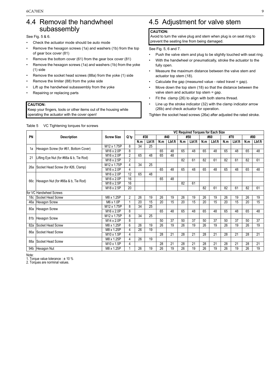### <span id="page-8-0"></span>4.4 Removal the handwheel subassembly

See Fig. 5 & 6.

- Check the actuator mode should be auto mode
- Remove the hexagon screws (1a) and washers (1b) from the top of gear box cover (81)
- Remove the bottom cover (61) from the gear box cover (81)
- Remove the hexagon screws (1a) and washers (1b) from the yoke (1) side
- Remove the socket head screws (88a) from the yoke (1) side
- Remove the limiter (88) from the yoke side
- Lift up the handwheel subassembly from the yoke
- Repairing or replacing parts

#### **CAUTION:**

Keep your fingers, tools or other items out of the housing while operating the actuator with the cover open!

## <span id="page-8-1"></span>4.5 Adjustment for valve stem

#### **CAUTION:**

Avoid to turn the valve plug and stem when plug is on seat ring to prevent the seating line from being damaged.

See Fig. 5, 6 and 7.

- Push the valve stem and plug to be slightly touched with seat ring.
- With the handwheel or pneumatically, stroke the actuator to the fully open.
- Measure the maximum distance between the valve stem and actuator top stem (18).
- Calculate the gap (measured value rated travel = gap).
- Move down the top stem (18) so that the distance between the valve stem and actuator top stem = gap.
- Fit the clamp (26) to align with both stems thread.
- Line up the stroke indicator (32) with the clamp indicator arrow (26b) and check actuator for operation.

Tighten the socket head screws (26a) after adjusted the rated stroke.

|     |                                         |                         |                |     |        |     |        |     | VC Required Torques for Each Size |     |        |     |        |     |        |
|-----|-----------------------------------------|-------------------------|----------------|-----|--------|-----|--------|-----|-----------------------------------|-----|--------|-----|--------|-----|--------|
| PN  | <b>Description</b>                      | <b>Screw Size</b>       | Q`ty           |     | #30    |     | #40    |     | #50                               |     | #60    |     | #70    |     | #80    |
|     |                                         |                         |                | N.m | Lbf.ft | N.m | Lbf.ft | N.m | Lbf.ft                            | N.m | Lbf.ft | N.m | Lbf.ft | N.m | Lbf.ft |
| 1a  | Hexagon Screw (for #61, Bottom Cover)   | M <sub>12</sub> x 1.75P | 8              | 34  | 25     |     |        |     |                                   |     |        |     |        |     |        |
|     |                                         | M16 x 2.0P              | 8              |     |        | 65  | 48     | 65  | 48                                | 65  | 48     | 65  | 48     | 65  | 48     |
| 21  | Lifting Eye Nut (for #66a & b, Tie Rod) | M16 x 2.0P              | 2              | 65  | 48     | 65  | 48     |     |                                   |     |        |     |        |     |        |
|     |                                         | M <sub>18</sub> x 2.5P  | $\overline{2}$ |     |        |     |        | 82  | 61                                | 82  | 61     | 82  | 61     | 82  | 61     |
| 26a | Socket Head Screw (for #26, Clamp)      | M <sub>12</sub> x 1.75P | 4              | 34  | 25     |     |        |     |                                   |     |        |     |        |     |        |
|     |                                         | M <sub>16</sub> x 2.0P  | 4              |     |        | 65  | 48     | 65  | 48                                | 65  | 48     | 65  | 48     | 65  | 48     |
|     |                                         | M16 x 2.0P              | 12             | 65  | 48     |     |        |     |                                   |     |        |     |        |     |        |
| 66c | Hexagon Nut (for #66a & b, Tie Rod)     | M16 x 2.0P              | 16             |     |        | 65  | 48     |     |                                   |     |        |     |        |     |        |
|     |                                         | M <sub>18</sub> x 2.5P  | 16             |     |        |     |        | 82  | 61                                |     |        |     |        |     |        |
|     |                                         | M18 x 2.5P              | 20             |     |        |     |        |     |                                   | 82  | 61     | 82  | 61     | 82  | 61     |
|     | for VC Handwheel Screws                 |                         |                |     |        |     |        |     |                                   |     |        |     |        |     |        |
|     | 18c Socket Head Screw                   | M8 x 1.25P              | 2              | 26  | 19     | 26  | 19     | 26  | 19                                | 26  | 19     | 26  | 19     | 26  | 19     |
|     | 46a Hexagon Screw                       | M6 x 1.0P               | 1              | 20  | 15     | 20  | 15     | 20  | 15                                | 20  | 15     | 20  | 15     | 20  | 15     |
|     | 80a Hexagon Screw                       | M <sub>12</sub> x 1.75P | 8              | 34  | 25     |     |        |     |                                   |     |        |     |        |     |        |
|     |                                         | M16 x 2.0P              | 8              |     |        | 65  | 48     | 65  | 48                                | 65  | 48     | 65  | 48     | 65  | 48     |
|     | 81b Hexagon Screw                       | M <sub>12</sub> x 1.75P | 8              | 34  | 25     |     |        |     |                                   |     |        |     |        |     |        |
|     |                                         | M14 x 2.0P              | 8              |     |        | 50  | 37     | 50  | 37                                | 50  | 37     | 50  | 37     | 50  | 37     |
| 82a | Socket Head Screw                       | M8 x 1.25P              | 6              | 26  | 19     | 26  | 19     | 26  | 19                                | 26  | 19     | 26  | 19     | 26  | 19     |
| 86а | Socket Head Screw                       | M8 x 1.25P              | 4              | 26  | 19     |     |        |     |                                   |     |        |     |        |     |        |
|     |                                         | M <sub>10</sub> x 1.5P  | 4              |     |        | 28  | 21     | 28  | 21                                | 28  | 21     | 28  | 21     | 28  | 21     |
| 88a | Socket Head Screw                       | M8 x 1.25P              | 4              | 26  | 19     |     |        |     |                                   |     |        |     |        |     |        |
|     |                                         | M <sub>10</sub> x 1.5P  | 4              |     |        | 28  | 21     | 28  | 21                                | 28  | 21     | 28  | 21     | 28  | 21     |
|     | 94b Hexagon Nut                         | M8 x 1.25P              |                | 26  | 19     | 26  | 19     | 26  | 19                                | 26  | 19     | 26  | 19     | 26  | 19     |

Note:

1. Torque value tolerance : ± 10 % 2. Torques are norminal values.

#### Table 5 VC Tightening torques for screws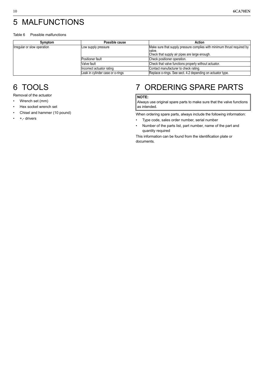# <span id="page-9-0"></span>5 MALFUNCTIONS

#### Table 6 Possible malfunctions

| Symptom                     | Possible cause                   | Action                                                                                                                             |  |  |  |  |  |  |
|-----------------------------|----------------------------------|------------------------------------------------------------------------------------------------------------------------------------|--|--|--|--|--|--|
| Irregular or slow operation | Low supply pressure              | Make sure that supply pressure complies with minimum thrust required by<br>valve.<br>Check that supply air pipes are large enough. |  |  |  |  |  |  |
|                             | Positioner fault                 | Check positioner operation.                                                                                                        |  |  |  |  |  |  |
|                             | Valve fault                      | Check that valve functions properly without actuator.                                                                              |  |  |  |  |  |  |
|                             | Incorrect actuator rating        | Contact manufacturer to check rating.                                                                                              |  |  |  |  |  |  |
|                             | Leak in cylinder case or o-rings | Replace o-rings. See sect. 4.2 depending on actuator type.                                                                         |  |  |  |  |  |  |

### <span id="page-9-1"></span>6 TOOLS

Removal of the actuator

- Wrench set (mm)
- Hex socket wrench set
- Chisel and hammer (10 pound)
- +,- drivers

# <span id="page-9-2"></span>7 ORDERING SPARE PARTS

#### **NOTE:**

Always use original spare parts to make sure that the valve functions as intended.

When ordering spare parts, always include the following information:

- Type code, sales order number, serial number
- Number of the parts list, part number, name of the part and quantity required

This information can be found from the identification plate or documents.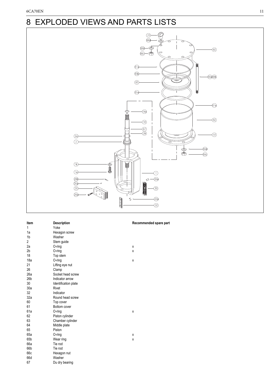# <span id="page-10-0"></span>8 EXPLODED VIEWS AND PARTS LISTS



| Item            | <b>Description</b>   | F |
|-----------------|----------------------|---|
| 1               | Yoke                 |   |
| 1a              | Hexagon screw        |   |
| 1 <sub>b</sub>  | Washer               |   |
| 2               | Stem guide           |   |
| 2a              | $O$ -ring            | X |
| 2 <sub>b</sub>  | O-ring               | X |
| 18              | Top stem             |   |
| 18a             | $O$ -ring            | X |
| 21              | Lifting eye nut      |   |
| 26              | Clamp                |   |
| 26a             | Socket head screw    |   |
| 26 <sub>b</sub> | Indicator arrow      |   |
| 30              | Identification plate |   |
| 30a             | Rivet                |   |
| 32              | Indicator            |   |
| 32a             | Round head screw     |   |
| 60              | Top cover            |   |
| 61              | Bottom cover         |   |
| 61a             | O-ring               | X |
| 62              | Piston cylinder      |   |
| 63              | Chamber cylinder     |   |
| 64              | Middle plate         |   |
| 65              | Piston               |   |
| 65a             | $O$ -ring            | X |
| 65b             | Wear ring            | X |
| 66a             | Tie rod              |   |
| 66b             | Tie rod              |   |
| 66c             | Hexagon nut          |   |
| 66d             | Washer               |   |
| 67              | Du dry bearing       |   |

#### Recommended spare part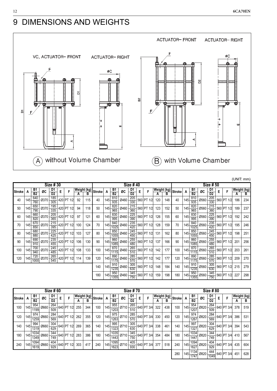# <span id="page-11-0"></span>9 DIMENSIONS AND WEIGHTS



|               |     |                             |      | Size #30              |   |            |                  |     | Size #40      |     |                 |      |            |   |            |                  |     | Size # 50     |     |                                  |      |                      |   |            |                  |     |
|---------------|-----|-----------------------------|------|-----------------------|---|------------|------------------|-----|---------------|-----|-----------------|------|------------|---|------------|------------------|-----|---------------|-----|----------------------------------|------|----------------------|---|------------|------------------|-----|
| <b>Stroke</b> | A   | <b>B1</b><br>B <sub>2</sub> | ØC   | D1<br>$\overline{D2}$ | Е | F          | Weight (kg)<br>А | В   | <b>Stroke</b> | A   | B1<br><b>B2</b> | ØC   | D1<br>D2   | E | F          | Weight (kg)<br>А | В   | <b>Stroke</b> | A   | B1<br>B2                         | ØC   | D1<br>D <sub>2</sub> | Е | F          | Weight (kg)<br>Α | в   |
| 40            | 145 | 640<br>760                  | Ø370 | 185<br>305            |   | 420 PT 1/2 | 92               | 115 | 40            | 145 | 810<br>935      | Ø460 | 205<br>330 |   | 560 PT 1/2 | 120              | 148 | 40            | 145 | 810<br>935                       | Ø560 | 205<br>330           |   | 560 PT 1/2 | 186              | 234 |
| 50            | 145 | 650<br>790                  | Ø370 | 195<br>335            |   | 420 PT 1/2 | 94               | 118 | 50            | 145 | 820<br>965      | Ø460 | 215<br>360 |   | 560 PT 1/2 | 123              | 152 | 50            | 145 | 820<br>965                       | Ø560 | 215<br>360           |   | 560 PT 1/2 | 189              | 237 |
| 60            | 145 | 660<br>820                  | Ø370 | 205<br>365            |   | 420 PT 1/2 | 97               | 121 | 60            | 145 | 830<br>995      | Ø460 | 225<br>390 |   | 560 PT 1/2 | 126              | 155 | 60            | 145 | 830<br>995                       | Ø560 | 225<br>390           |   | 560 PT 1/2 | 192              | 242 |
| 70            | 145 | 670<br>850                  | Ø370 | 215<br>395            |   | 420 PT 1/2 | 100              | 124 | 70            | 145 | 840<br>1025     | Ø460 | 235<br>420 |   | 560 PT 1/2 | 128              | 159 | 70            | 145 | 840<br>1025                      | Ø560 | 235<br>420           |   | 560 PT 1/2 | 195              | 246 |
| 80            | 145 | 680<br>880                  | Ø370 | 225<br>425            |   | 420 PT 1/2 | 103              | 127 | 80            | 145 | 850<br>1055     | Ø460 | 245<br>450 |   | 560 PT 1/2 | 131              | 162 | 80            | 145 | 850<br>1055                      | Ø560 | 245<br>450           |   | 560 PT 1/2 | 198              | 251 |
| 90            | 145 | 690<br>910                  | Ø370 | 235<br>455            |   | 420 PT 1/2 | 106              | 130 | 90            | 145 | 860<br>1085     | Ø460 | 255<br>480 |   | 560 PT 1/2 | 137              | 166 | 90            | 145 | 860<br>1085                      | Ø560 | 255<br>480           |   | 560 PT 1/2 | 201              | 256 |
| 100           | 145 | 700<br>940                  | Ø370 | 245<br>485            |   | 420 PT 1/2 | 108              | 133 | 100           | 145 | 870<br>1115     | Ø460 | 265<br>510 |   | 560 PT 1/2 | 142              | 177 | 100           | 145 | 870<br>1115                      | Ø560 | 265<br>510           |   | 560 PT 1/2 | 203              | 261 |
| 120           | 145 | 720<br>1000                 | Ø370 | 265<br>545            |   | 420 PT 1/2 | 114              | 139 | 120           | 145 | 890<br>1175     | Ø460 | 285<br>570 |   | 560 PT 1/2 | 142              | 177 | 120           |     | 890<br>$ 145 \overline{1175} $ * | Ø560 | 285<br>570           |   | 560 PT 1/2 | 209              | 270 |
|               |     |                             |      |                       |   |            |                  |     | 140           | 145 | 910<br>1235     | Ø460 | 305<br>630 |   | 560 PT 1/2 | 148              | 184 | 140           |     | 910<br>$ 145 \frac{1}{1235} $    | Ø560 | 305<br>630           |   | 560 PT 1/2 | 215              | 279 |
|               |     |                             |      |                       |   |            |                  |     | 180           | 145 | 950<br>1355     | Ø460 | 345<br>750 |   | 560 PT 1/2 | 159              | 198 | 180           | 145 | 950<br>1355                      | Ø560 | 345<br>750           |   | 560 PT 1/2 | 227              | 298 |

|               | <b>Size #60</b>  |                       |      |                       |   |            |                  | <b>Size #70</b> |               |         |                        |      |            |   |            | <b>Size #80</b>  |     |               |         |                                   |      |                      |   |            |                  |     |
|---------------|------------------|-----------------------|------|-----------------------|---|------------|------------------|-----------------|---------------|---------|------------------------|------|------------|---|------------|------------------|-----|---------------|---------|-----------------------------------|------|----------------------|---|------------|------------------|-----|
| <b>Stroke</b> | A                | B1<br>$\overline{B2}$ | ØC   | D1<br>$\overline{D2}$ | Е | F          | Weight (kg)<br>А | B               | <b>Stroke</b> | A       | <b>B1</b><br><b>B2</b> | ØC   | D1<br>D2   | Е | F          | Weight (kg)<br>А | B   | <b>Stroke</b> | A       | B <sub>1</sub><br>$\overline{B2}$ | ØC   | D1<br>D <sub>2</sub> | E | F          | Weight (kg)<br>А | в   |
| 100           | 145              | 954<br>199            | Ø660 | 264<br>509            |   | 640 PT 1/2 | 255              | 344             | 100           | $145 -$ | 955<br>1203            | Ø710 | 265<br>510 |   | 640 PT 3/4 | 322              | 438 | 100           | 145     | 954<br>1207                       | Ø820 | 264<br>509           |   | 640 PT 3/4 | 378              | 519 |
| 120           | 145              | 974<br>1259           | Ø660 | 284<br>569            |   | 640 PT 1/2 | 262              | 355             | 120           | $145 -$ | 975<br>1263            | Ø710 | 285<br>570 |   | 640 PT 3/4 | 330              | 450 | 120           | $145 -$ | 974<br>1267                       | Ø820 | 284<br>569           |   | 640 PT 3/4 | 386              | 531 |
| 140           | 145 <sub>1</sub> | 994<br>1319           | Ø660 | 304<br>629            |   | 640 PT 1/2 | 269              | 365             | 140           | 145     | 995<br>1323            | Ø710 | 305<br>630 |   | 640 PT 3/4 | 338              | 461 | 140           | 145     | 997<br>1327                       | Ø820 | 304<br>629           |   | 640 PT 3/4 | 394              | 543 |
| 180           | 145              | 1034<br>1349          | Ø660 | 344<br>749            |   | 640 PT 1/2 | 283              | 386             | 180           | 145     | 1035<br>1443           | Ø710 | 345<br>750 |   | 640 PT 3/4 | 354              | 484 | 180           | $145 -$ | 1034<br>1447                      | Ø820 | 344<br>749           |   | 640 PT 3/4 | 410              | 567 |
| 240           | 145              | 1094<br>1619          | Ø660 | 404<br>929            |   | 640 PT 1/2 | 303              | 417             | 240           | 145     | 1095<br>1623           | Ø710 | 405<br>930 |   | 640 PT 3/4 | 377              | 518 | 240           | 145     | 1094<br>1627                      | Ø820 | 404<br>929           |   | 640 PT 3/4 | 435              | 604 |
|               |                  |                       |      |                       |   |            |                  |                 |               |         |                        |      |            |   |            |                  |     | 280           | 145     | 1134<br>1747                      | Ø820 | 444<br>1049          |   | 640 PT 3/4 | 451              | 628 |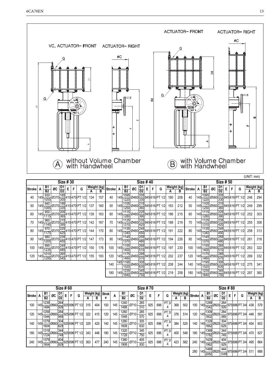

|               |                                  |                         |                 |          |   |                         |     |             |          |         |                |    |                 |   |   |                                                                                           |     |             |               |         |                         |                            |                                   |           |   |                                                                                           | $1 - 1 - 1 - 1 - 1 - 1 - 1$ |             |
|---------------|----------------------------------|-------------------------|-----------------|----------|---|-------------------------|-----|-------------|----------|---------|----------------|----|-----------------|---|---|-------------------------------------------------------------------------------------------|-----|-------------|---------------|---------|-------------------------|----------------------------|-----------------------------------|-----------|---|-------------------------------------------------------------------------------------------|-----------------------------|-------------|
|               |                                  |                         |                 | Size #30 |   |                         |     |             |          |         |                |    | <b>Size #40</b> |   |   |                                                                                           |     |             |               |         |                         |                            |                                   | Size # 50 |   |                                                                                           |                             |             |
| <b>Stroke</b> | B1                               | ØC                      |                 | Е        | F | G                       |     | Weight (kg) | Stroke A |         | B1             | ØC | $\frac{D1}{D2}$ | E | F | G                                                                                         |     | Weight (kg) | <b>Stroke</b> | A       | B1                      | ØC                         | $\frac{\mathsf{D1}}{\mathsf{D2}}$ | E.        | F | G                                                                                         |                             | Weight (kg) |
|               | B2                               |                         | $\overline{D2}$ |          |   |                         | A   | в           |          |         | B <sub>2</sub> |    |                 |   |   |                                                                                           | А   | В           |               |         | $\overline{B2}$         |                            |                                   |           |   |                                                                                           | А                           | в           |
| 40            | 930<br>$ 145 $ 1055 $ x $        | $-10370 \frac{12}{305}$ | 185             |          |   | 410 470 PT 1/2          | 134 | 157         | 40       |         |                |    |                 |   |   | 145 1095 0460 205 845 616 PT 1/2                                                          | 180 | 208         | 40            | 145     |                         |                            |                                   |           |   | $\frac{1095}{1220}$ Ø560 $\frac{205}{330}$ 845 616 PT 1/2                                 | 246                         | 294         |
| 50            | 940<br>$ 145 $ 1085 $ $ *        |                         |                 |          |   | Ø370 335 410 470 PT 1/2 | 137 | 160         | 50       |         |                |    |                 |   |   |                                                                                           | 183 | 212         | 50            | $145 +$ | 1105                    | $\frac{1.30}{1250}$ 0560 - |                                   |           |   | $\frac{215}{360}$ 845 616 PT 1/2                                                          | 249                         | 299         |
| 60            | 950<br>$145\frac{1}{1115}$       |                         |                 |          |   | Ø370 205 410 470 PT 1/2 | 139 | 163         | 60       |         |                |    |                 |   |   | 145 1115 0460 225 845 616 PT 1/2                                                          | 186 | 215         | 60            |         | $145 \frac{1}{1280}$    |                            |                                   |           |   | $\frac{1}{2}$ Ø560 $\frac{225}{390}$ 845 616 PT 1/2                                       | 252                         | 303         |
| 70            | 960<br>$145\frac{1}{1145}$       |                         |                 |          |   | Ø370 215 410 470 PT 1/2 | 142 | 167         | 70       | $145 -$ |                |    |                 |   |   | $\frac{1125}{1310} \cancel{0}460 \frac{235}{420} 845 \cancel{6}16 \cancel{\text{PT 1/2}}$ | 188 | 219         | 70            | 145     |                         |                            |                                   |           |   | $\frac{1125}{1310} \cancel{O560} \frac{235}{420} \cancel{845} 616 \cancel{\text{PT 1/2}}$ | 255                         | 308         |
| 80            | 970<br>$ 145 $ $\frac{1}{1175} $ |                         |                 |          |   | Ø370 225 410 470 PT 1/2 | 144 | 170         | 80       |         |                |    |                 |   |   | 145 1135 0460 245 845 616 PT 1/2                                                          | 191 | 222         | 80            |         | $145 \frac{1133}{1340}$ | $\frac{1135}{20560}$       |                                   |           |   | $\frac{245}{450}$ 845 616 PT 1/2                                                          | 258                         | 313         |
| 90            | 980<br>$ 145 $ $\frac{1}{1205} $ |                         |                 |          |   | Ø370 235 410 470 PT 1/2 | 147 | 173         | 90       |         |                |    |                 |   |   | 145 1145 0460 255 845 616 PT 1/2                                                          | 194 | 226         | 90            | 145-    | 1370                    |                            |                                   |           |   | $\frac{1}{2}$ Ø560 $\frac{255}{480}$ 845 616 PT 1/2                                       | 261                         | 318         |
| 100           | 990<br>$1^{145}$ 1235 $x$        | 0370 245                |                 |          |   | 410 470 PT 1/2          | 150 | 176         | 100      |         |                |    |                 |   |   | 145 1155 0460 265 845 616 PT 1/2                                                          | 197 | 230         | 100           |         | 1155<br>$145 + 1400$    |                            |                                   |           |   | Ø560 265 845 616 PT 1/2                                                                   | 263                         | 322         |
| 120           | 1010<br>$145 \frac{1295}{1295}$  |                         |                 |          |   | Ø370 265 410 470 PT 1/2 | 155 | 183         | 120      |         |                |    |                 |   |   | 145 1175 0460 285 845 616 PT 1/2                                                          | 202 | 237         | 120           |         |                         |                            |                                   |           |   | 145 1175 Ø560 285 845 616 PT 1/2                                                          | 269                         | 332         |
|               |                                  |                         |                 |          |   |                         |     |             | 140      |         |                |    |                 |   |   | 145 1195 Ø460 305 845 616 PT 1/2                                                          | 208 | 244         | 140           | 145     | 1195<br>1520            |                            |                                   |           |   | $\frac{5}{10}$ Ø560 $\frac{305}{630}$ 845 616 PT 1/2                                      | 275                         | 341         |
|               |                                  |                         |                 |          |   |                         |     |             | 180      | 145-    |                |    |                 |   |   | 1235 Ø460 345 845 616 PT 1/2                                                              | 219 | 258         | 180           | 145     |                         |                            |                                   |           |   | $\frac{1235}{1640} \cancel{0560} \frac{345}{750} \cancel{845} 616 \cancel{\text{PT 1/2}}$ | 287                         | 360         |

|               | Size #60 |              |                    |                |   |   |                            | <b>Size #70</b> |             |              |     |              |      |                |     |     | <b>Size #80</b> |             |     |               |     |                 |      |                |   |              |                                    |             |     |
|---------------|----------|--------------|--------------------|----------------|---|---|----------------------------|-----------------|-------------|--------------|-----|--------------|------|----------------|-----|-----|-----------------|-------------|-----|---------------|-----|-----------------|------|----------------|---|--------------|------------------------------------|-------------|-----|
| <b>Stroke</b> | A        | B1           | ØC                 | D1             | E | F | G                          |                 | Weight (kg) | <b>Strok</b> | A   | B1           | ØC   | D1             | Е   |     | G               | Weight (kg) |     | <b>Stroke</b> | А   | B1              | ØC   | D1             | Е | F            | G                                  | Weight (kg) |     |
|               |          | <b>B2</b>    |                    | D <sub>2</sub> |   |   |                            | А               | в           | е            |     | <b>B2</b>    |      | D <sub>2</sub> |     |     |                 | А           | В   |               |     | $\overline{B2}$ |      | D <sub>2</sub> |   |              |                                    | A           | в   |
| 100           | 145      | 1239<br>1484 | 0660 509           | 264            |   |   | 925 696 PT 1/2             | 315             | 404         | 100          | 145 | 1240<br>1488 | Ø710 | 265<br>510     | 925 | 696 | PT 3/<br>4      | 368         | 502 | 100           | 145 | 1289<br>1542    | Ø820 | 264<br>509     |   | $-975696$ PT | 3/4                                | 438         | 579 |
| 120           | 145      | 1259<br>1544 | $\frac{6660}{569}$ | 284            |   |   | 925 696 PT 1/2             | 322             | 415         | 120          | 145 | 1260<br>1548 | Ø710 | 285<br>570     | 925 | 696 | PT 3/<br>4      | 376         | 514 | 120           | 145 | 1309<br>1602    | 0820 | 284<br>569     |   | 975696 PT    | 3/4                                | 446         | 591 |
| 140           | 145      | 1279<br>1604 | $\emptyset$ 660    | 629            |   |   | $304$ 925 696 PT 1/2       | 329             | 425         | 140          | 145 | 1280<br>1608 | Ø710 | 305<br>630     | 925 | 696 | PT 3/<br>4      | 384         | 525 | 140           | 145 | 1329<br>1662    | Ø820 | 304<br>629     |   | -975696 PT   | 3/4                                | 454         | 603 |
| 180           | $145 -$  | 1319<br>1724 | 0660               | 344<br>749     |   |   | 925 696 PT 1/2             | 343             | 446         | 180          | 145 | 1320<br>1728 | Ø710 | 345<br>750     | 925 | 696 | PT 3/<br>4      | 400         | 548 | 180           | 145 | 1369<br>1782    | Ø820 | 344<br>749     |   |              | 975 696 PT 3/4                     | 470         | 627 |
| 240           | 145      | 1379<br>1904 |                    |                |   |   | 179 060 404 925 696 PT 1/2 | 363             | 477         | 240          | 145 | 1380<br>1908 | Ø710 | 405<br>930     | 925 | 696 | PT 3/<br>4      | 423         | 582 | 240           | 145 | 1429<br>1962    | Ø820 | 404            |   |              | $10\frac{104}{929}$ 975 696 PT 3/4 | 495         | 664 |
|               |          |              |                    |                |   |   |                            |                 |             |              |     |              |      |                |     |     |                 |             |     | 280           | 145 | 1469<br>2082    | Ø820 | 444<br>1049    |   |              | 975696 PT 3/4                      | 511         | 688 |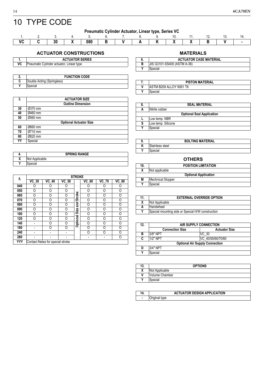# <span id="page-13-0"></span>10 TYPE CODE

| Pneumatic Cylinder Actuator, Linear type, Series VC |  |  |
|-----------------------------------------------------|--|--|
|-----------------------------------------------------|--|--|

|  | . | ---<br>nn.<br>uou |  |  | -- |  |  |
|--|---|-------------------|--|--|----|--|--|

### **ACTUATOR CONSTRUCTIONS MATERIALS**

|    | <b>ACTUATOR SERIES</b>                   |
|----|------------------------------------------|
| VC | Pneumatic Cylinder actuator, Linear type |

| Ζ. | <b>FUNCTION CODE</b>       |
|----|----------------------------|
|    | Double Acting (Springless) |
|    | Special                    |

| 3. |         | <b>ACTUATOR SIZE</b>          |  |
|----|---------|-------------------------------|--|
|    |         | <b>Outline Dimension</b>      |  |
| 30 | Ø370 mm |                               |  |
| 40 | Ø460 mm |                               |  |
| 50 | Ø560 mm |                               |  |
|    |         | <b>Optional Actuator Size</b> |  |
| 60 | Ø660 mm |                               |  |
| 70 | Ø710 mm |                               |  |
| 80 | Ø820 mm |                               |  |
| YY | Special |                               |  |

| 4. |                | <b>SPRING RANGE</b> |  |
|----|----------------|---------------------|--|
| χ  | Not Applicable |                     |  |
| v  | Special        |                     |  |

|     |         |                                  |         | <b>STROKE</b> |         |         |                           |
|-----|---------|----------------------------------|---------|---------------|---------|---------|---------------------------|
| 5.  | $VC_30$ | <b>VC_40</b>                     | $VC_50$ |               | $VC_60$ | $VC_70$ | $\overline{\text{VC}}$ 80 |
| 040 | O       | ∩                                |         |               |         |         |                           |
| 050 | 0       | Ω                                | 0       |               | റ       | 0       | 0                         |
| 060 | O       | ∩                                | ი       | <b>Stroke</b> | ∩       | Ω       | O                         |
| 070 | ი       | ∩                                | 0       |               | Ω       | Ω       | Ω                         |
| 080 | O       | ∩                                | 0       | and           | Ω       | ი       | O                         |
| 090 | Ω       | Ω                                | ი       | Size          | ∩       | ი       | Ω                         |
| 100 | O       | ∩                                | ი       |               | ∩       | ი       | O                         |
| 120 | O       | Ω                                | ი       |               | ∩       | ი       | Ω                         |
| 140 |         | ∩                                | Ω       | Optional      | ∩       | ი       | O                         |
| 180 |         | ∩                                | ∩       |               | ∩       | ი       | Ω                         |
| 240 |         |                                  |         |               | ∩       | ∩       | O                         |
| 280 |         |                                  |         |               |         |         | 0                         |
| YYY |         | Contact Neles for special stroke |         |               |         |         |                           |

| <b>MAILRIALS</b>                   |
|------------------------------------|
| <b>ACTUATOR CASE MATERIAL</b>      |
| <b>JIS G3101-SS400 (ASTM A-36)</b> |
| Special                            |

|   | <b>PISTON MATERIAL</b>  |
|---|-------------------------|
| v | ASTM B209 ALLOY 6061 T6 |
| v | Special                 |

| 8. |                    | <b>SEAL MATERIAL</b>             |
|----|--------------------|----------------------------------|
| A  | Nitrile rubber     |                                  |
|    |                    | <b>Optional Seal Application</b> |
|    | Low temp. NBR      |                                  |
| s  | Low temp. Silicone |                                  |
| v  | Special            |                                  |
|    |                    |                                  |

| 9.     | <b>BOLTING MATERIAL</b> |
|--------|-------------------------|
| v<br>n | Stainless steel         |
|        | Special                 |

|                             | <b>OTHERS</b>              |  |
|-----------------------------|----------------------------|--|
| 10.                         | <b>POSITION LIMITATION</b> |  |
| χ                           | Not applicable             |  |
| <b>Optional Application</b> |                            |  |
| М                           | <b>Mechnical Stopper</b>   |  |
| v                           | Special                    |  |

| 11. | <b>EXTERNAL OVERRIDE OPTION</b>                   |
|-----|---------------------------------------------------|
|     | Not Applicable                                    |
|     | Handwheel                                         |
| v   | Special mounting side or Special H/W construction |

| 12. | AIR SUPPLY CONNECTION  |                                       |  |
|-----|------------------------|---------------------------------------|--|
|     | <b>Connection Size</b> | <b>Actuator Size</b>                  |  |
| в   | 3/8" NPT               | VC 30                                 |  |
| C   | 1/2" NPT               | VC 40/50/60/70/80                     |  |
|     |                        | <b>Optional Air Supply Connection</b> |  |
| D   | 3/4" NPT               |                                       |  |
| ٧   | Special                |                                       |  |

| 13.                  | <b>OPTIONS</b> |
|----------------------|----------------|
| v<br>^               | Not Applicable |
| .,                   | Volume Chamber |
| $\ddot{\phantom{1}}$ | Special        |

|  | <b>ACTUATOR DESIGN APPLICATION</b> |  |
|--|------------------------------------|--|
|  | Original type                      |  |